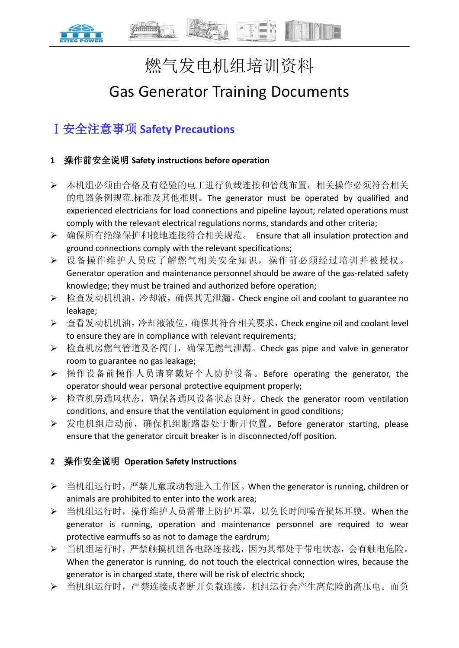# 燃气发电机组培训资料

# Gas Generator Training Documents

# Ⅰ安全注意事项 **Safety Precautions**

# **1** 操作前安全说明 **Safety instructions before operation**

- 本机组必须由合格及有经验的电工进行负载连接和管线布置,相关操作必须符合相关 的电器条例规范.标准及其他准则。The generator must be operated by qualified and experienced electricians for load connections and pipeline layout; related operations must comply with the relevant electrical regulations norms, standards and other criteria;
- ▶ 确保所有绝缘保护和接地连接符合相关规范。 Ensure that all insulation protection and ground connections comply with the relevant specifications;
- 设备操作维护人员应了解燃气相关安全知识,操作前必须经过培训并被授权。 Generator operation and maintenance personnel should be aware of the gas-related safety knowledge; they must be trained and authorized before operation;
- **▶ 检查发动机机油,冷却液,确保其无泄漏。Check engine oil and coolant to guarantee no** leakage;
- 查看发动机机油,冷却液液位,确保其符合相关要求,Check engine oil and coolant level to ensure they are in compliance with relevant requirements;
- ▶ 检查机房燃气管道及各阀门,确保无燃气泄漏。Check gas pipe and valve in generator room to guarantee no gas leakage;
- ▶ 操作设备前操作人员请穿戴好个人防护设备。Before operating the generator, the operator should wear personal protective equipment properly;
- ▶ 检查机房通风状态,确保各通风设备状态良好。Check the generator room ventilation conditions, and ensure that the ventilation equipment in good conditions;
- **▶ 发电机组启动前,确保机组断路器处于断开位置。Before generator starting, please** ensure that the generator circuit breaker is in disconnected/off position.

# **2** 操作安全说明 **Operation Safety Instructions**

- ▶ 当机组运行时,严禁儿童或动物进入工作区。When the generator is running, children or animals are prohibited to enter into the work area;
- 当机组运行时,操作维护人员需带上防护耳罩,以免长时间噪音损坏耳膜。When the generator is running, operation and maintenance personnel are required to wear protective earmuffs so as not to damage the eardrum;
- 当机组运行时,严禁触摸机组各电路连接线,因为其都处于带电状态,会有触电危险。 When the generator is running, do not touch the electrical connection wires, because the generator is in charged state, there will be risk of electric shock;
- 当机组运行时,严禁连接或者断开负载连接,机组运行会产生高危险的高压电。而负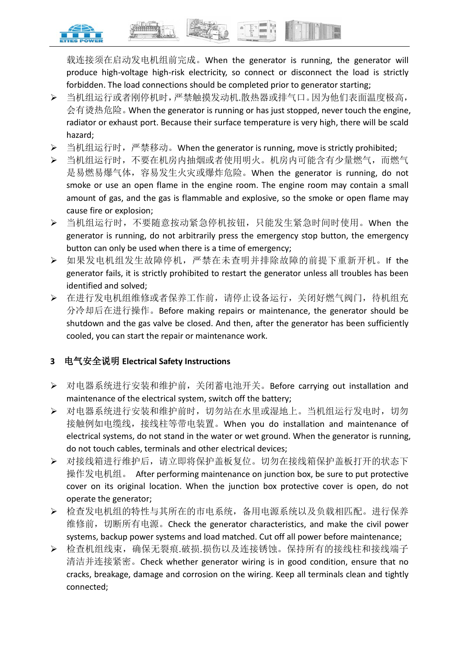

载连接须在启动发电机组前完成。When the generator is running, the generator will produce high-voltage high-risk electricity, so connect or disconnect the load is strictly forbidden. The load connections should be completed prior to generator starting;

- 当机组运行或者刚停机时,严禁触摸发动机.散热器或排气口。因为他们表面温度极高, 会有烫热危险。When the generator is running or has just stopped, never touch the engine, radiator or exhaust port. Because their surface temperature is very high, there will be scald hazard;
- **▶** 当机组运行时,严禁移动。When the generator is running, move is strictly prohibited;
- 当机组运行时,不要在机房内抽烟或者使用明火。机房内可能含有少量燃气,而燃气 是易燃易爆气体,容易发生火灾或爆炸危险。When the generator is running, do not smoke or use an open flame in the engine room. The engine room may contain a small amount of gas, and the gas is flammable and explosive, so the smoke or open flame may cause fire or explosion;
- 当机组运行时,不要随意按动紧急停机按钮,只能发生紧急时间时使用。When the generator is running, do not arbitrarily press the emergency stop button, the emergency button can only be used when there is a time of emergency;
- ▶ 如果发电机组发生故障停机,严禁在未查明并排除故障的前提下重新开机。If the generator fails, it is strictly prohibited to restart the generator unless all troubles has been identified and solved;
- 在进行发电机组维修或者保养工作前,请停止设备运行,关闭好燃气阀门,待机组充 分冷却后在进行操作。Before making repairs or maintenance, the generator should be shutdown and the gas valve be closed. And then, after the generator has been sufficiently cooled, you can start the repair or maintenance work.

# **3** 电气安全说明 **Electrical Safety Instructions**

- ▶ 对电器系统进行安装和维护前, 关闭蓄电池开关。Before carrying out installation and maintenance of the electrical system, switch off the battery;
- 对电器系统进行安装和维护前时,切勿站在水里或湿地上。当机组运行发电时,切勿 接触例如电缆线,接线柱等带电装置。When you do installation and maintenance of electrical systems, do not stand in the water or wet ground. When the generator is running, do not touch cables, terminals and other electrical devices;
- > 对接线箱进行维护后,请立即将保护盖板复位。切勿在接线箱保护盖板打开的状态下 操作发电机组。 After performing maintenance on junction box, be sure to put protective cover on its original location. When the junction box protective cover is open, do not operate the generator;
- 检查发电机组的特性与其所在的市电系统,备用电源系统以及负载相匹配。进行保养 维修前, 切断所有电源。Check the generator characteristics, and make the civil power systems, backup power systems and load matched. Cut off all power before maintenance;
- ▶ 检查机组线束,确保无裂痕.破损.损伤以及连接锈蚀。保持所有的接线柱和接线端子 清洁并连接紧密。Check whether generator wiring is in good condition, ensure that no cracks, breakage, damage and corrosion on the wiring. Keep all terminals clean and tightly connected;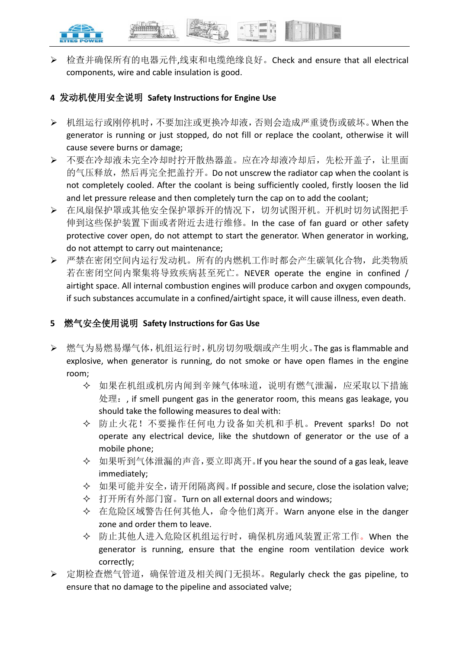

▶ 检查并确保所有的电器元件,线束和电缆绝缘良好。Check and ensure that all electrical components, wire and cable insulation is good.

# **4** 发动机使用安全说明 **Safety Instructions for Engine Use**

- 机组运行或刚停机时,不要加注或更换冷却液,否则会造成严重烫伤或破坏。When the generator is running or just stopped, do not fill or replace the coolant, otherwise it will cause severe burns or damage;
- > 不要在冷却液未完全冷却时拧开散热器盖。应在冷却液冷却后,先松开盖子,让里面 的气压释放,然后再完全把盖拧开。Do not unscrew the radiator cap when the coolant is not completely cooled. After the coolant is being sufficiently cooled, firstly loosen the lid and let pressure release and then completely turn the cap on to add the coolant;
- 在风扇保护罩或其他安全保护罩拆开的情况下,切勿试图开机。开机时切勿试图把手 伸到这些保护装置下面或者附近去进行维修。In the case of fan guard or other safety protective cover open, do not attempt to start the generator. When generator in working, do not attempt to carry out maintenance;
- 严禁在密闭空间内运行发动机。所有的内燃机工作时都会产生碳氧化合物,此类物质 若在密闭空间内聚集将导致疾病甚至死亡。NEVER operate the engine in confined / airtight space. All internal combustion engines will produce carbon and oxygen compounds, if such substances accumulate in a confined/airtight space, it will cause illness, even death.

# **5** 燃气安全使用说明 **Safety Instructions for Gas Use**

- 燃气为易燃易爆气体,机组运行时,机房切勿吸烟或产生明火。The gas is flammable and explosive, when generator is running, do not smoke or have open flames in the engine room;
	- 如果在机组或机房内闻到辛辣气体味道,说明有燃气泄漏,应采取以下措施 处理: , if smell pungent gas in the generator room, this means gas leakage, you should take the following measures to deal with:
	- 防止火花!不要操作任何电力设备如关机和手机。Prevent sparks! Do not operate any electrical device, like the shutdown of generator or the use of a mobile phone;
	- 如果听到气体泄漏的声音,要立即离开。If you hear the sound of a gas leak, leave immediately;
	- 如果可能并安全,请开闭隔离阀。If possible and secure, close the isolation valve;
	- 打开所有外部门窗。Turn on all external doors and windows;
	- 在危险区域警告任何其他人,命令他们离开。Warn anyone else in the danger zone and order them to leave.
	- ◆ 防止其他人进入危险区机组运行时, 确保机房通风装置正常工作。When the generator is running, ensure that the engine room ventilation device work correctly;
- **>** 定期检查燃气管道,确保管道及相关阀门无损坏。Regularly check the gas pipeline, to ensure that no damage to the pipeline and associated valve;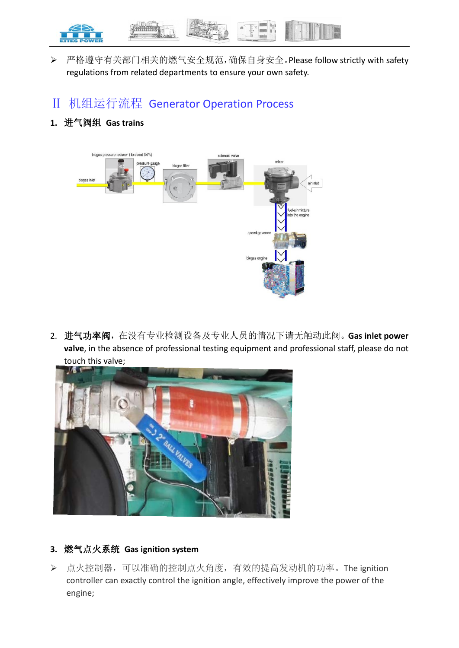

- ▶ 严格遵守有关部门相关的燃气安全规范,确保自身安全。Please follow strictly with safety regulations from related departments to ensure your own safety.
- Ⅱ 机组运行流程 Generator Operation Process

# **1.** 进气阀组 **Gas trains**



2. 进气功率阀,在没有专业检测设备及专业人员的情况下请无触动此阀。**Gas inlet power valve**, in the absence of professional testing equipment and professional staff, please do not touch this valve;



## **3.** 燃气点火系统 **Gas ignition system**

▶ 点火控制器, 可以准确的控制点火角度, 有效的提高发动机的功率。The ignition controller can exactly control the ignition angle, effectively improve the power of the engine;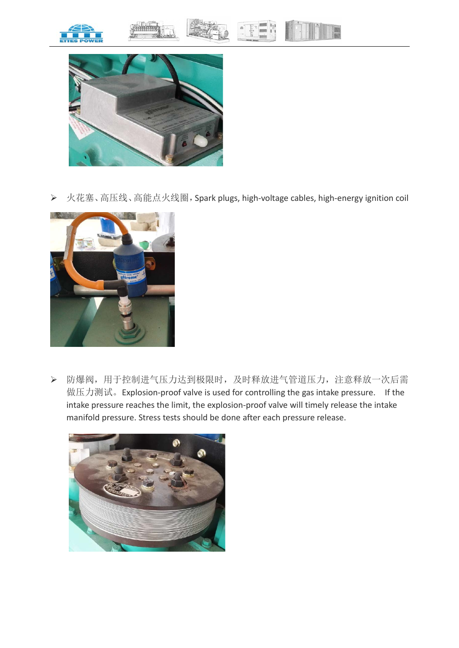







▶ 火花塞、高压线、高能点火线圈, Spark plugs, high-voltage cables, high-energy ignition coil



 防爆阀,用于控制进气压力达到极限时,及时释放进气管道压力,注意释放一次后需 做压力测试。Explosion-proof valve is used for controlling the gas intake pressure. If the intake pressure reaches the limit, the explosion-proof valve will timely release the intake manifold pressure. Stress tests should be done after each pressure release.

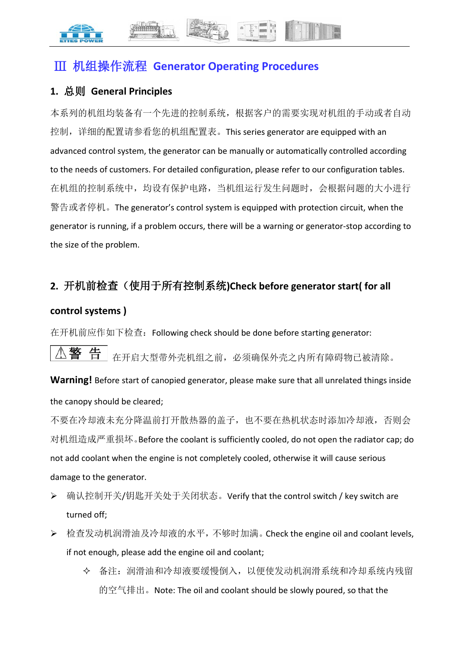# Ⅲ 机组操作流程 **Generator Operating Procedures**

# **1.** 总则 **General Principles**

本系列的机组均装备有一个先进的控制系统,根据客户的需要实现对机组的手动或者自动 控制,详细的配置请参看您的机组配置表。This series generator are equipped with an advanced control system, the generator can be manually or automatically controlled according to the needs of customers. For detailed configuration, please refer to our configuration tables. 在机组的控制系统中,均设有保护电路,当机组运行发生问题时,会根据问题的大小进行 警告或者停机。The generator's control system is equipped with protection circuit, when the generator is running, if a problem occurs, there will be a warning or generator-stop according to the size of the problem.

# **2.** 开机前检查(使用于所有控制系统**)Check before generator start( for all**

# **control systems )**

在开机前应作如下检查: Following check should be done before starting generator:

警 在开启大型带外壳机组之前,必须确保外壳之内所有障碍物已被清除。

**Warning!** Before start of canopied generator, please make sure that all unrelated things inside the canopy should be cleared;

不要在冷却液未充分降温前打开散热器的盖子,也不要在热机状态时添加冷却液,否则会 对机组造成严重损坏。Before the coolant is sufficiently cooled, do not open the radiator cap; do not add coolant when the engine is not completely cooled, otherwise it will cause serious damage to the generator.

- ▶ 确认控制开关/钥匙开关处于关闭状态。Verify that the control switch / key switch are turned off;
- **▶ 检查发动机润滑油及冷却液的水平, 不够时加满。 Check the engine oil and coolant levels,** if not enough, please add the engine oil and coolant;
	- 备注:润滑油和冷却液要缓慢倒入,以便使发动机润滑系统和冷却系统内残留 的空气排出。Note: The oil and coolant should be slowly poured, so that the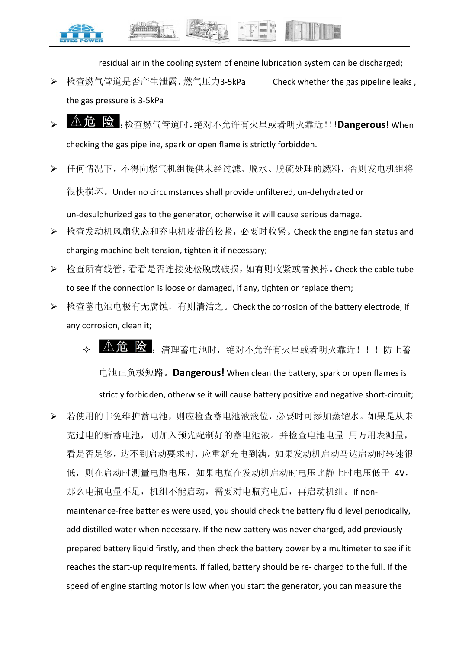

residual air in the cooling system of engine lubrication system can be discharged;

- ▶ 检查燃气管道是否产生泄露,燃气压力3-5kPa Check whether the gas pipeline leaks. the gas pressure is 3-5kPa
- :检查燃气管道时,绝对不允许有火星或者明火靠近!!!**Dangerous!** When checking the gas pipeline, spark or open flame is strictly forbidden.
- 任何情况下,不得向燃气机组提供未经过滤、脱水、脱硫处理的燃料,否则发电机组将 很快损坏。Under no circumstances shall provide unfiltered, un-dehydrated or un-desulphurized gas to the generator, otherwise it will cause serious damage.
- ▶ 检查发动机风扇状态和充电机皮带的松紧,必要时收紧。Check the engine fan status and charging machine belt tension, tighten it if necessary;
- 检查所有线管,看看是否连接处松脱或破损,如有则收紧或者换掉。Check the cable tube to see if the connection is loose or damaged, if any, tighten or replace them;
- ▶ 检查蓄电池电极有无腐蚀,有则清洁之。Check the corrosion of the battery electrode, if any corrosion, clean it;
	- 45. 万里春山,这样的人的不允许有火星或者明火靠近!!!防止蓄

电池正负极短路。**Dangerous!** When clean the battery, spark or open flames is strictly forbidden, otherwise it will cause battery positive and negative short-circuit;

 若使用的非免维护蓄电池,则应检查蓄电池液液位,必要时可添加蒸馏水。如果是从未 充过电的新蓄电池,则加入预先配制好的蓄电池液。并检查电池电量 用万用表测量, 看是否足够,达不到启动要求时,应重新充电到满。如果发动机启动马达启动时转速很 低, 则在启动时测量电瓶电压, 如果电瓶在发动机启动时电压比静止时电压低于 4V, 那么电瓶电量不足,机组不能启动,需要对电瓶充电后,再启动机组。If nonmaintenance-free batteries were used, you should check the battery fluid level periodically, add distilled water when necessary. If the new battery was never charged, add previously prepared battery liquid firstly, and then check the battery power by a multimeter to see if it reaches the start-up requirements. If failed, battery should be re- charged to the full. If the speed of engine starting motor is low when you start the generator, you can measure the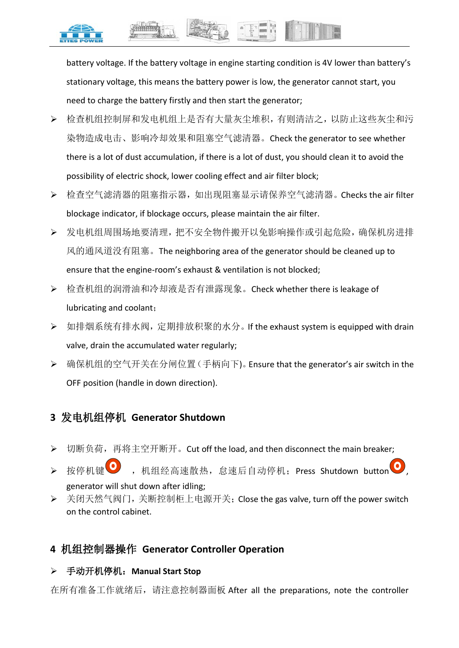

battery voltage. If the battery voltage in engine starting condition is 4V lower than battery's stationary voltage, this means the battery power is low, the generator cannot start, you need to charge the battery firstly and then start the generator;

- 检查机组控制屏和发电机组上是否有大量灰尘堆积,有则清洁之,以防止这些灰尘和污 染物造成电击、影响冷却效果和阻塞空气滤清器。Check the generator to see whether there is a lot of dust accumulation, if there is a lot of dust, you should clean it to avoid the possibility of electric shock, lower cooling effect and air filter block;
- ▶ 检查空气滤清器的阻塞指示器,如出现阻塞显示请保养空气滤清器。Checks the air filter blockage indicator, if blockage occurs, please maintain the air filter.
- 发电机组周围场地要清理,把不安全物件搬开以免影响操作或引起危险,确保机房进排 风的通风道没有阻塞。The neighboring area of the generator should be cleaned up to ensure that the engine-room's exhaust & ventilation is not blocked;
- ▶ 检查机组的润滑油和冷却液是否有泄露现象。Check whether there is leakage of lubricating and coolant;
- ▶ 如排烟系统有排水阀, 定期排放积聚的水分。If the exhaust system is equipped with drain valve, drain the accumulated water regularly;
- 确保机组的空气开关在分闸位置(手柄向下)。Ensure that the generator's air switch in the OFF position (handle in down direction).

# **3** 发电机组停机 **Generator Shutdown**

- ▶ 切断负荷, 再将主空开断开。Cut off the load, and then disconnect the main breaker;
- > 按停机键 , 机组经高速散热, 怠速后自动停机; Press Shutdown button generator will shut down after idling;
- ▶ 关闭天然气阀门,关断控制柜上电源开关; Close the gas valve, turn off the power switch on the control cabinet.

# **4** 机组控制器操作 **Generator Controller Operation**

# 手动开机停机:**Manual Start Stop**

在所有准备工作就绪后,请注意控制器面板 After all the preparations, note the controller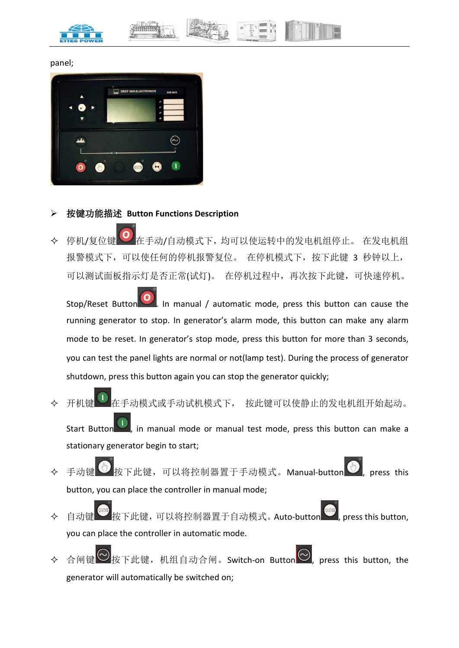

#### panel;



#### 按键功能描述 **Button Functions Description**

◆ 停机/复位键 右手动/自动模式下,均可以使运转中的发电机组停止。 在发电机组 报警模式下,可以使任何的停机报警复位。在停机模式下,按下此键 3 秒钟以上, 可以测试面板指示灯是否正常(试灯)。 在停机过程中,再次按下此键,可快速停机。

Stop/Reset Button  $\Box$ . In manual / automatic mode, press this button can cause the running generator to stop. In generator's alarm mode, this button can make any alarm mode to be reset. In generator's stop mode, press this button for more than 3 seconds, you can test the panel lights are normal or not(lamp test). During the process of generator shutdown, press this button again you can stop the generator quickly;

- 开机键 上 在手动模式或手动试机模式下, 按此键可以使静止的发电机组开始起动。 Start Button , in manual mode or manual test mode, press this button can make a stationary generator begin to start;
- ◆ 手动键 按下此键,可以将控制器置于手动模式。Manual-button , press this button, you can place the controller in manual mode;
- ◆ 自动键 按下此键,可以将控制器置于自动模式。Auto-button , press this button, you can place the controller in automatic mode.
- 合闸键 → 按下此键,机组自动合闸。Switch-on Button → press this button, the generator will automatically be switched on;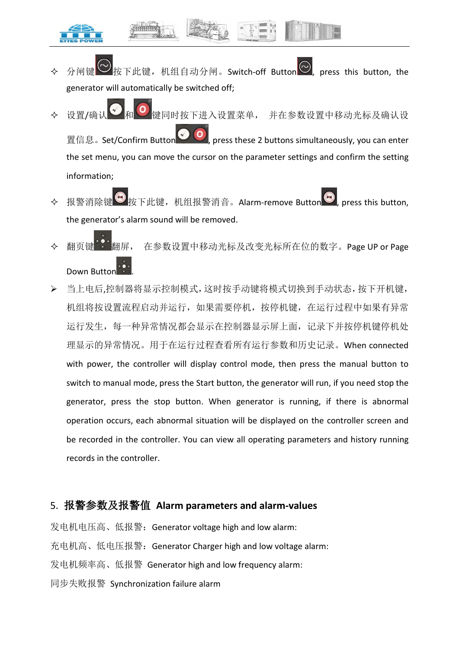- 按下此键,机组自动分闸。Switch-off Button ${|\heartsuit|}$ , press this button, the generator will automatically be switched off;
- ◆ 设置/确认 利 到 键同时按下进入设置菜单, 并在参数设置中移动光标及确认设 置信息。Set/Confirm Button , press these 2 buttons simultaneously, you can enter the set menu, you can move the cursor on the parameter settings and confirm the setting information;
- ◆ 报警消除键 按下此键,机组报警消音。Alarm-remove Button , press this button, the generator's alarm sound will be removed.
- 翻页键 翻屏, 在参数设置中移动光标及改变光标所在位的数字。Page UP or Page Down Buttor
- 当上电后,控制器将显示控制模式,这时按手动键将模式切换到手动状态,按下开机键, 机组将按设置流程启动并运行,如果需要停机,按停机键,在运行过程中如果有异常 运行发生,每一种异常情况都会显示在控制器显示屏上面,记录下并按停机键停机处 理显示的异常情况。用于在运行过程查看所有运行参数和历史记录。When connected with power, the controller will display control mode, then press the manual button to switch to manual mode, press the Start button, the generator will run, if you need stop the generator, press the stop button. When generator is running, if there is abnormal operation occurs, each abnormal situation will be displayed on the controller screen and be recorded in the controller. You can view all operating parameters and history running records in the controller.

## 5. 报警参数及报警值 **Alarm parameters and alarm-values**

发电机电压高、低报警:Generator voltage high and low alarm: 充电机高、低电压报警:Generator Charger high and low voltage alarm: 发电机频率高、低报警 Generator high and low frequency alarm: 同步失败报警 Synchronization failure alarm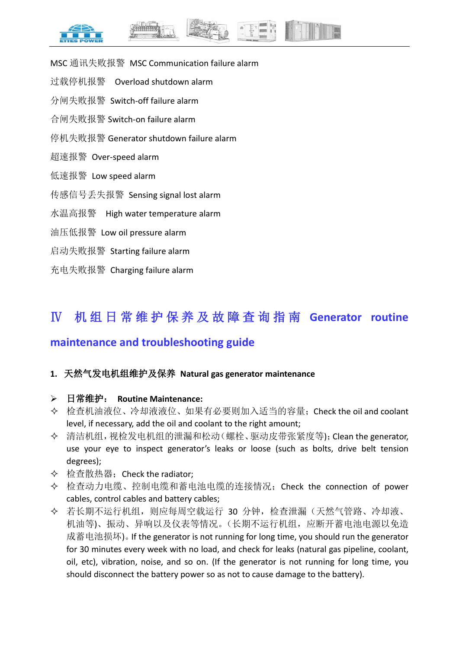

- MSC 通讯失败报警 MSC Communication failure alarm
- 过载停机报警 Overload shutdown alarm
- 分闸失败报警 Switch-off failure alarm
- 合闸失败报警 Switch-on failure alarm
- 停机失败报警 Generator shutdown failure alarm
- 超速报警 Over-speed alarm
- 低速报警 Low speed alarm
- 传感信号丢失报警 Sensing signal lost alarm
- 水温高报警 High water temperature alarm
- 油压低报警 Low oil pressure alarm
- 启动失败报警 Starting failure alarm
- 充电失败报警 Charging failure alarm

# Ⅳ 机组日常维护保养及故障查询指南 **Generator routine**

# **maintenance and troubleshooting guide**

## **1.** 天然气发电机组维护及保养 **Natural gas generator maintenance**

#### 日常维护: **Routine Maintenance:**

- 检查机油液位、冷却液液位、如果有必要则加入适当的容量;Check the oil and coolant level, if necessary, add the oil and coolant to the right amount;
- 清洁机组,视检发电机组的泄漏和松动(螺栓、驱动皮带张紧度等);Clean the generator, use your eye to inspect generator's leaks or loose (such as bolts, drive belt tension degrees);
- ◆ 检查散热器; Check the radiator;
- 检查动力电缆、控制电缆和蓄电池电缆的连接情况;Check the connection of power cables, control cables and battery cables;
- 若长期不运行机组,则应每周空载运行 30 分钟,检查泄漏(天然气管路、冷却液、 机油等)、振动、异响以及仪表等情况。(长期不运行机组,应断开蓄电池电源以免造 成蓄电池损坏)。If the generator is not running for long time, you should run the generator for 30 minutes every week with no load, and check for leaks (natural gas pipeline, coolant, oil, etc), vibration, noise, and so on. (If the generator is not running for long time, you should disconnect the battery power so as not to cause damage to the battery).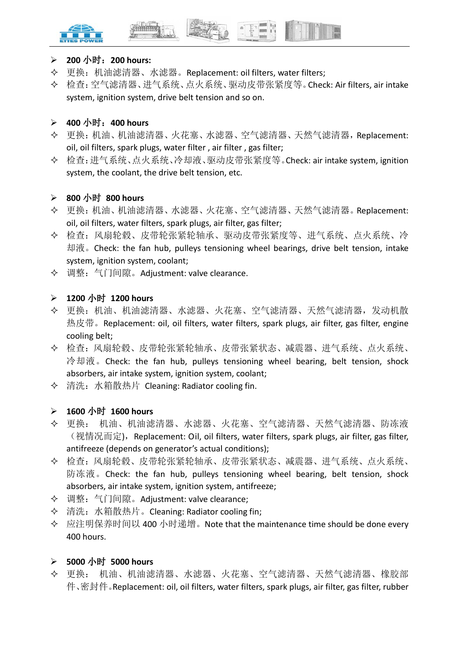



#### **200** 小时:**200 hours:**

- 更换:机油滤清器、水滤器。Replacement: oil filters, water filters;
- 检查:空气滤清器、进气系统、点火系统、驱动皮带张紧度等。Check: Air filters, air intake system, ignition system, drive belt tension and so on.

#### **400** 小时:**400 hours**

- 更换:机油、机油滤清器、火花塞、水滤器、空气滤清器、天然气滤清器,Replacement: oil, oil filters, spark plugs, water filter , air filter , gas filter;
- 检查:进气系统、点火系统、冷却液、驱动皮带张紧度等。Check: air intake system, ignition system, the coolant, the drive belt tension, etc.

#### **800** 小时 **800 hours**

- 更换:机油、机油滤清器、水滤器、火花塞、空气滤清器、天然气滤清器。Replacement: oil, oil filters, water filters, spark plugs, air filter, gas filter;
- 检查:风扇轮毂、皮带轮张紧轮轴承、驱动皮带张紧度等、进气系统、点火系统、冷 却液。Check: the fan hub, pulleys tensioning wheel bearings, drive belt tension, intake system, ignition system, coolant;
- 调整:气门间隙。Adjustment: valve clearance.

#### **1200** 小时 **1200 hours**

- 更换:机油、机油滤清器、水滤器、火花塞、空气滤清器、天然气滤清器,发动机散 热皮带。Replacement: oil, oil filters, water filters, spark plugs, air filter, gas filter, engine cooling belt;
- 检查:风扇轮毂、皮带轮张紧轮轴承、皮带张紧状态、减震器、进气系统、点火系统、 冷却液。Check: the fan hub, pulleys tensioning wheel bearing, belt tension, shock absorbers, air intake system, ignition system, coolant;
- 清洗:水箱散热片 Cleaning: Radiator cooling fin.

## **1600** 小时 **1600 hours**

- 更换: 机油、机油滤清器、水滤器、火花塞、空气滤清器、天然气滤清器、防冻液 (视情况而定), Replacement: Oil, oil filters, water filters, spark plugs, air filter, gas filter, antifreeze (depends on generator's actual conditions);
- 检查:风扇轮毂、皮带轮张紧轮轴承、皮带张紧状态、减震器、进气系统、点火系统、 防冻液。Check: the fan hub, pulleys tensioning wheel bearing, belt tension, shock absorbers, air intake system, ignition system, antifreeze;
- 调整:气门间隙。Adjustment: valve clearance;
- 清洗:水箱散热片。Cleaning: Radiator cooling fin;
- ◆ 应注明保养时间以 400 小时递增。Note that the maintenance time should be done every 400 hours.

## **5000** 小时 **5000 hours**

 更换: 机油、机油滤清器、水滤器、火花塞、空气滤清器、天然气滤清器、橡胶部 件、密封件。Replacement: oil, oil filters, water filters, spark plugs, air filter, gas filter, rubber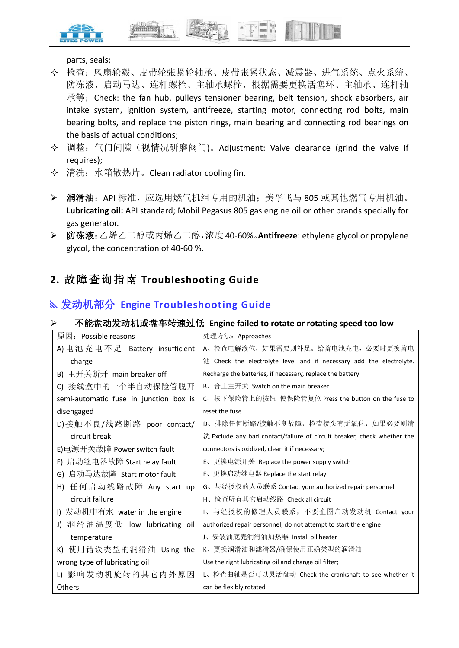



parts, seals;

- 检查:风扇轮毂、皮带轮张紧轮轴承、皮带张紧状态、减震器、进气系统、点火系统、 防冻液、启动马达、连杆螺栓、主轴承螺栓、根据需要更换活塞环、主轴承、连杆轴 承等; Check: the fan hub, pulleys tensioner bearing, belt tension, shock absorbers, air intake system, ignition system, antifreeze, starting motor, connecting rod bolts, main bearing bolts, and replace the piston rings, main bearing and connecting rod bearings on the basis of actual conditions;
- 调整:气门间隙(视情况研磨阀门)。Adjustment: Valve clearance (grind the valve if requires);
- 清洗:水箱散热片。Clean radiator cooling fin.
- > 润滑油: API 标准, 应选用燃气机组专用的机油; 美孚飞马 805 或其他燃气专用机油。 **Lubricating oil:** API standard; Mobil Pegasus 805 gas engine oil or other brands specially for gas generator.
- 防冻液:乙烯乙二醇或丙烯乙二醇,浓度40-60%。**Antifreeze**: ethylene glycol or propylene glycol, the concentration of 40-60 %.

# **2.** 故障查询指南 **Troubleshooting Guide**

# 发动机部分 **Engine Troubleshooting Guide**

#### 不能盘动发动机或盘车转速过低 **Engine failed to rotate or rotating speed too low**

| 原因: Possible reasons                   | 处理方法: Approaches                                                        |
|----------------------------------------|-------------------------------------------------------------------------|
| A) 电池充电不足 Battery insufficient         | A、检查电解液位, 如果需要则补足。给蓄电池充电, 必要时更换蓄电                                       |
| charge                                 | 池 Check the electrolyte level and if necessary add the electrolyte.     |
| B) 主开关断开 main breaker off              | Recharge the batteries, if necessary, replace the battery               |
| 接线盒中的一个半自动保险管脱开<br>C)                  | <b>B</b> 、合上主开关 Switch on the main breaker                              |
| semi-automatic fuse in junction box is | C、按下保险管上的按钮 使保险管复位 Press the button on the fuse to                      |
| disengaged                             | reset the fuse                                                          |
| D)接触不良/线路断路 poor contact/              | D、排除任何断路/接触不良故障, 检查接头有无氧化, 如果必要则清                                       |
| circuit break                          | 洗 Exclude any bad contact/failure of circuit breaker, check whether the |
| E)电源开关故障 Power switch fault            | connectors is oxidized, clean it if necessary;                          |
| 启动继电器故障 Start relay fault<br>F)        | E、更换电源开关 Replace the power supply switch                                |
| 启动马达故障 Start motor fault<br>G)         | F、更换启动继电器 Replace the start relay                                       |
| 任何启动线路故障 Any start up<br>H)            | G、与经授权的人员联系 Contact your authorized repair personnel                    |
| circuit failure                        | H、检查所有其它启动线路 Check all circuit                                          |
| I) 发动机中有水 water in the engine          | 1、与经授权的修理人员联系,不要企图启动发动机 Contact your                                    |
| 润滑油温度低 low lubricating oil<br>J)       | authorized repair personnel, do not attempt to start the engine         |
| temperature                            | J、安装油底壳润滑油加热器 Install oil heater                                        |
| 使用错误类型的润滑油 Using the<br>K)             | K、更换润滑油和滤清器/确保使用正确类型的润滑油                                                |
| wrong type of lubricating oil          | Use the right lubricating oil and change oil filter;                    |
| L) 影响发动机旋转的其它内外原因                      | L、检查曲轴是否可以灵活盘动 Check the crankshaft to see whether it                   |
| <b>Others</b>                          | can be flexibly rotated                                                 |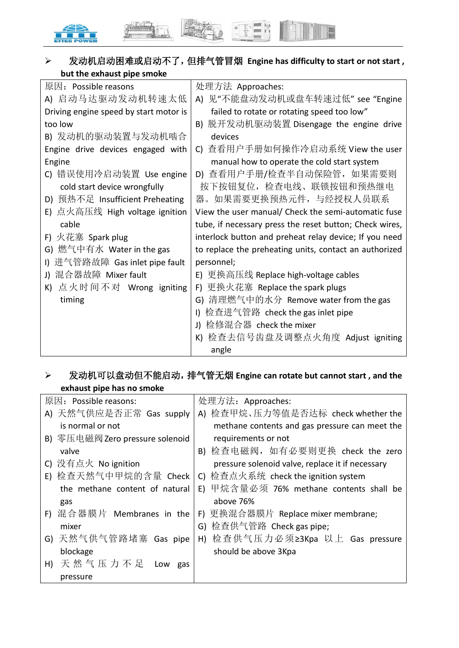

# 发动机启动困难或启动不了,但排气管冒烟 **Engine has difficulty to start or not start , but the exhaust pipe smoke**

| 原因: Possible reasons                   | 处理方法 Approaches:                                        |
|----------------------------------------|---------------------------------------------------------|
| A) 启动马达驱动发动机转速太低                       | A) 见"不能盘动发动机或盘车转速过低" see "Engine                        |
| Driving engine speed by start motor is | failed to rotate or rotating speed too low"             |
| too low                                | 脱开发动机驱动装置 Disengage the engine drive<br>B)              |
| B) 发动机的驱动装置与发动机啮合                      | devices                                                 |
| Engine drive devices engaged with      | C) 查看用户手册如何操作冷启动系统 View the user                        |
| Engine                                 | manual how to operate the cold start system             |
| C) 错误使用冷启动装置 Use engine                | D) 查看用户手册/检查半自动保险管,如果需要则                                |
| cold start device wrongfully           | 按下按钮复位,检查电线、联锁按钮和预热继电                                   |
| 预热不足 Insufficient Preheating<br>D)     | 器。如果需要更换预热元件, 与经授权人员联系                                  |
| E) 点火高压线 High voltage ignition         | View the user manual/ Check the semi-automatic fuse     |
| cable                                  | tube, if necessary press the reset button; Check wires, |
| F) 火花塞 Spark plug                      | interlock button and preheat relay device; If you need  |
| G) 燃气中有水 Water in the gas              | to replace the preheating units, contact an authorized  |
| 进气管路故障 Gas inlet pipe fault            | personnel;                                              |
| J) 混合器故障 Mixer fault                   | 更换高压线 Replace high-voltage cables<br>E)                 |
| K) 点火时间不对 Wrong igniting               | 更换火花塞 Replace the spark plugs<br>F)                     |
| timing                                 | G) 清理燃气中的水分 Remove water from the gas                   |
|                                        | 检查进气管路 check the gas inlet pipe                         |
|                                        | 检修混合器 check the mixer<br>J)                             |
|                                        | 检查去信号齿盘及调整点火角度 Adjust igniting<br>K)                    |
|                                        | angle                                                   |

# 发动机可以盘动但不能启动,排气管无烟 **Engine can rotate but cannot start , and the exhaust pipe has no smoke**

| 原因: Possible reasons:           | 处理方法: Approaches:                                |
|---------------------------------|--------------------------------------------------|
| A) 天然气供应是否正常 Gas supply         | A) 检查甲烷、压力等值是否达标 check whether the               |
| is normal or not                | methane contents and gas pressure can meet the   |
| B) 零压电磁阀 Zero pressure solenoid | requirements or not                              |
| valve                           | B) 检查电磁阀,如有必要则更换 check the zero                  |
| C) 没有点火 No ignition             | pressure solenoid valve, replace it if necessary |
| E) 检查天然气中甲烷的含量 Check            | C) 检查点火系统 check the ignition system              |
| the methane content of natural  | E) 甲烷含量必须 76% methane contents shall be          |
| gas                             | above 76%                                        |
| F) 混合器膜片 Membranes in the       | F) 更换混合器膜片 Replace mixer membrane;               |
| mixer                           | G) 检查供气管路 Check gas pipe;                        |
| G) 天然气供气管路堵塞 Gas pipe           | H) 检查供气压力必须≥3Kpa 以上 Gas pressure                 |
| blockage                        | should be above 3Kpa                             |
| 天然气压力不足<br>H)<br>Low gas        |                                                  |
| pressure                        |                                                  |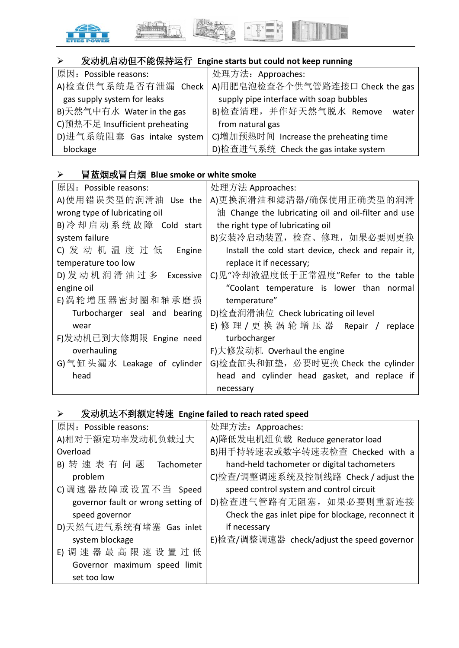

# 发动机启动但不能保持运行 **Engine starts but could not keep running**

| 原因: Possible reasons:          | 处理方法: Approaches:                       |
|--------------------------------|-----------------------------------------|
| A)检查供气系统是否有泄漏                  | Check   A)用肥皂泡检查各个供气管路连接口 Check the gas |
| gas supply system for leaks    | supply pipe interface with soap bubbles |
| B)天然气中有水 Water in the gas      | B)检查清理, 并作好天然气脱水 Remove<br>water        |
| C)预热不足 Insufficient preheating | from natural gas                        |
| D)进气系统阻塞 Gas intake system     | C)增加预热时间 Increase the preheating time   |
| blockage                       | D)检查进气系统 Check the gas intake system    |

# 冒蓝烟或冒白烟 **Blue smoke or white smoke**

| 原因: Possible reasons:         | 处理方法 Approaches:                                    |
|-------------------------------|-----------------------------------------------------|
| A)使用错误类型的润滑油 Use the          | A)更换润滑油和滤清器/确保使用正确类型的润滑                             |
| wrong type of lubricating oil | 油 Change the lubricating oil and oil-filter and use |
| B) 冷却启动系统故障 Cold start        | the right type of lubricating oil                   |
| system failure                | B)安装冷启动装置,检查、修理,如果必要则更换                             |
| C) 发动机温度过低<br>Engine          | Install the cold start device, check and repair it, |
| temperature too low           | replace it if necessary;                            |
| D) 发动机润滑油过多 Excessive         | C)见"冷却液温度低于正常温度"Refer to the table                  |
| engine oil                    | "Coolant temperature is lower than normal           |
| E) 涡轮增压器密封圈和轴承磨损              | temperature"                                        |
| Turbocharger seal and bearing | D)检查润滑油位 Check lubricating oil level                |
| wear                          | E) 修 理 / 更 换 涡 轮 增 压 器 Repair /<br>replace          |
| F)发动机已到大修期限 Engine need       | turbocharger                                        |
| overhauling                   | F)大修发动机 Overhaul the engine                         |
| G)气缸头漏水 Leakage of cylinder   | G)检查缸头和缸垫, 必要时更换 Check the cylinder                 |
| head                          | head and cylinder head gasket, and replace if       |
|                               | necessary                                           |

# 发动机达不到额定转速 **Engine failed to reach rated speed**

| 原因: Possible reasons:              | 处理方法: Approaches:                                   |
|------------------------------------|-----------------------------------------------------|
| A)相对于额定功率发动机负载过大                   | A)降低发电机组负载 Reduce generator load                    |
| Overload                           | B)用手持转速表或数字转速表检查 Checked with a                     |
| B) 转速表有问题<br>Tachometer            | hand-held tachometer or digital tachometers         |
| problem                            | C)检查/调整调速系统及控制线路 Check / adjust the                 |
| C) 调速器故障或设置不当 Speed                | speed control system and control circuit            |
| governor fault or wrong setting of | D)检查进气管路有无阻塞, 如果必要则重新连接                             |
| speed governor                     | Check the gas inlet pipe for blockage, reconnect it |
| D)天然气进气系统有堵塞 Gas inlet             | if necessary                                        |
| system blockage                    | E)检查/调整调速器 check/adjust the speed governor          |
| E) 调 速 器 最 高 限 速 设 置 过 低           |                                                     |
| Governor maximum speed limit       |                                                     |
| set too low                        |                                                     |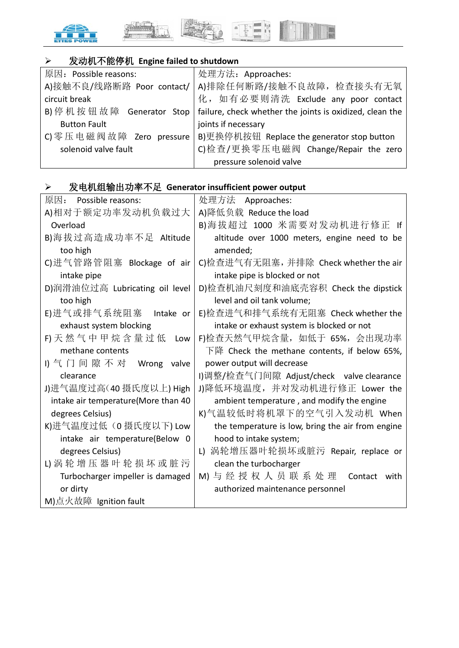

# 发动机不能停机 **Engine failed to shutdown**

| 原因: Possible reasons:    | 处理方法: Approaches:                                                                        |
|--------------------------|------------------------------------------------------------------------------------------|
|                          | A)接触不良/线路断路 Poor contact/   A)排除任何断路/接触不良故障, 检查接头有无氧                                     |
| circuit break            | 化, 如有必要则清洗 Exclude any poor contact                                                      |
|                          | B) 停 机 按 钮 故 障 Generator Stop   failure, check whether the joints is oxidized, clean the |
| <b>Button Fault</b>      | joints if necessary                                                                      |
| C) 零压电磁阀故障 Zero pressure | B)更换停机按钮 Replace the generator stop button                                               |
| solenoid valve fault     | C)检查/更换零压电磁阀 Change/Repair the zero                                                      |
|                          | pressure solenoid valve                                                                  |

# 发电机组输出功率不足 **Generator insufficient power output**

| 原因: Possible reasons:               | 处理方法<br>Approaches:                               |
|-------------------------------------|---------------------------------------------------|
| A)相对于额定功率发动机负载过大                    | A)降低负载 Reduce the load                            |
| Overload                            | B)海拔超过 1000 米需要对发动机进行修正 If                        |
| B)海拔过高造成功率不足 Altitude               | altitude over 1000 meters, engine need to be      |
| too high                            | amended;                                          |
| C)进气管路管阻塞 Blockage of air           | C)检查进气有无阻塞,并排除 Check whether the air              |
| intake pipe                         | intake pipe is blocked or not                     |
| D)润滑油位过高 Lubricating oil level      | D)检查机油尺刻度和油底壳容积 Check the dipstick                |
| too high                            | level and oil tank volume;                        |
| E)进气或排气系统阻塞<br>Intake or            | E)检查进气和排气系统有无阻塞 Check whether the                 |
| exhaust system blocking             | intake or exhaust system is blocked or not        |
| F)天然气中甲烷含量过低 Low                    | F)检查天然气甲烷含量, 如低于 65%, 会出现功率                       |
| methane contents                    | 下降 Check the methane contents, if below 65%,      |
| 1) 气 门 间 隙 不 对 Wrong<br>valve       | power output will decrease                        |
| clearance                           | I)调整/检查气门间隙 Adjust/check valve clearance          |
| J)进气温度过高(40摄氏度以上) High              | J)降低环境温度, 并对发动机进行修正 Lower the                     |
| intake air temperature(More than 40 | ambient temperature, and modify the engine        |
| degrees Celsius)                    | K)气温较低时将机罩下的空气引入发动机 When                          |
| K)进气温度过低(0 摄氏度以下) Low               | the temperature is low, bring the air from engine |
| intake air temperature(Below 0      | hood to intake system;                            |
| degrees Celsius)                    | L) 涡轮增压器叶轮损坏或脏污 Repair, replace or                |
| L) 涡轮 增 压 器 叶 轮 损 坏 或 脏 污           | clean the turbocharger                            |
| Turbocharger impeller is damaged    | M) 与 经 授 权 人 员 联 系 处 理 Contact with               |
| or dirty                            | authorized maintenance personnel                  |
| M)点火故障 Ignition fault               |                                                   |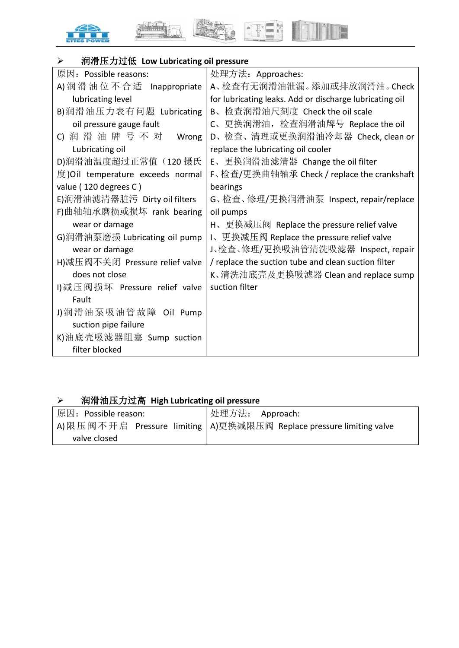







| 润滑压力过低 Low Lubricating oil pressure<br>➤ |                                                         |
|------------------------------------------|---------------------------------------------------------|
| 原因: Possible reasons:                    | 处理方法: Approaches:                                       |
| A) 润滑油位不合适 Inappropriate                 | A、检查有无润滑油泄漏。添加或排放润滑油。Check                              |
| lubricating level                        | for lubricating leaks. Add or discharge lubricating oil |
| B)润滑油压力表有问题 Lubricating                  | B、检查润滑油尺刻度 Check the oil scale                          |
| oil pressure gauge fault                 | C、更换润滑油,检查润滑油牌号 Replace the oil                         |
| C) 润滑油牌号不对<br>Wrong                      | D、检查、清理或更换润滑油冷却器 Check, clean or                        |
| Lubricating oil                          | replace the lubricating oil cooler                      |
| D)润滑油温度超过正常值 (120 摄氏                     | E、更换润滑油滤清器 Change the oil filter                        |
| 度)Oil temperature exceeds normal         | F、检查/更换曲轴轴承 Check / replace the crankshaft              |
| value (120 degrees C)                    | bearings                                                |
| E)润滑油滤清器脏污 Dirty oil filters             | G、检查、修理/更换润滑油泵 Inspect, repair/replace                  |
| F)曲轴轴承磨损或损坏 rank bearing                 | oil pumps                                               |
| wear or damage                           | H、更换减压阀 Replace the pressure relief valve               |
| G)润滑油泵磨损 Lubricating oil pump            | I、更换减压阀 Replace the pressure relief valve               |
| wear or damage                           | J、检查、修理/更换吸油管清洗吸滤器 Inspect,repair                       |
| H)减压阀不关闭 Pressure relief valve           | / replace the suction tube and clean suction filter     |
| does not close                           | K、清洗油底壳及更换吸滤器 Clean and replace sump                    |
| I) 减压阀损坏 Pressure relief valve           | suction filter                                          |
| Fault                                    |                                                         |
| J)润滑油泵吸油管故障 Oil Pump                     |                                                         |
| suction pipe failure                     |                                                         |
| K)油底壳吸滤器阻塞 Sump suction                  |                                                         |
| filter blocked                           |                                                         |

# 润滑油压力过高 **High Lubricating oil pressure**

| 原因: Possible reason: | 处理方法: Approach:                                                              |
|----------------------|------------------------------------------------------------------------------|
|                      | A) 限 压 阀 不 开 启 Pressure limiting   A) 更换减限压阀 Replace pressure limiting valve |
| valve closed         |                                                                              |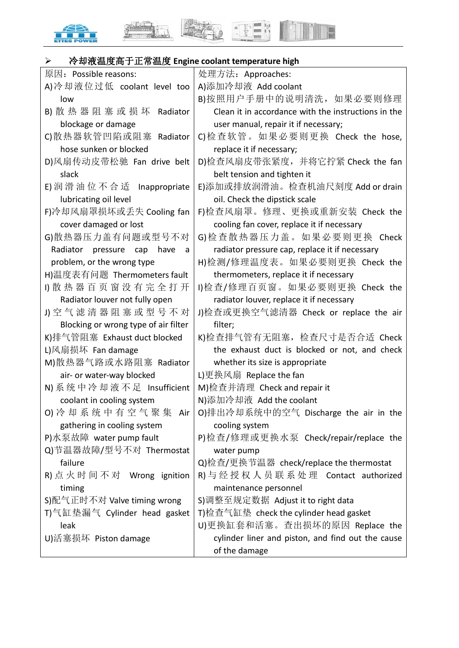





| 冷却液温度高于正常温度 Engine coolant temperature high<br>➤ |                                                     |
|--------------------------------------------------|-----------------------------------------------------|
| 原因: Possible reasons:                            | 处理方法: Approaches:                                   |
| A)冷却液位过低 coolant level too                       | A)添加冷却液 Add coolant                                 |
| low                                              | B)按照用户手册中的说明清洗, 如果必要则修理                             |
| B) 散 热 器 阻 塞 或 损 坏 Radiator                      | Clean it in accordance with the instructions in the |
| blockage or damage                               | user manual, repair it if necessary;                |
| C)散热器软管凹陷或阻塞 Radiator                            | C)检查软管。如果必要则更换 Check the hose,                      |
| hose sunken or blocked                           | replace it if necessary;                            |
| D)风扇传动皮带松驰 Fan drive belt                        | D)检查风扇皮带张紧度,并将它拧紧 Check the fan                     |
| slack                                            | belt tension and tighten it                         |
| E) 润滑油位不合适 Inappropriate                         | E)添加或排放润滑油。检查机油尺刻度 Add or drain                     |
| lubricating oil level                            | oil. Check the dipstick scale                       |
| F)冷却风扇罩损坏或丢失 Cooling fan                         | F)检查风扇罩。修理、更换或重新安装 Check the                        |
| cover damaged or lost                            | cooling fan cover, replace it if necessary          |
| G)散热器压力盖有问题或型号不对                                 | G)检查散热器压力盖。如果必要则更换 Check                            |
| Radiator pressure cap<br>have<br>a               | radiator pressure cap, replace it if necessary      |
| problem, or the wrong type                       | H)检测/修理温度表。如果必要则更换 Check the                        |
| H)温度表有问题 Thermometers fault                      | thermometers, replace it if necessary               |
| 1) 散 热 器 百 页 窗 没 有 完 全 打 开                       | I)检查/修理百页窗。如果必要则更换 Check the                        |
| Radiator louver not fully open                   | radiator louver, replace it if necessary            |
| J) 空 气 滤 清 器 阻 塞 或 型 号 不 对                       | J)检查或更换空气滤清器 Check or replace the air               |
| Blocking or wrong type of air filter             | filter;                                             |
| K)排气管阻塞 Exhaust duct blocked                     | K)检查排气管有无阻塞,检查尺寸是否合适 Check                          |
| L)风扇损坏 Fan damage                                | the exhaust duct is blocked or not, and check       |
| M)散热器气路或水路阻塞 Radiator                            | whether its size is appropriate                     |
| air- or water-way blocked                        | L)更换风扇 Replace the fan                              |
| N) 系统中冷却液不足 Insufficient                         | M)检查并清理 Check and repair it                         |
| coolant in cooling system                        | N)添加冷却液 Add the coolant                             |
| O) 冷却系统中有空气聚集 Air                                | O)排出冷却系统中的空气 Discharge the air in the               |
| gathering in cooling system                      | cooling system                                      |
| P)水泵故障 water pump fault                          | P)检查/修理或更换水泵 Check/repair/replace the               |
| Q)节温器故障/型号不对 Thermostat                          | water pump                                          |
| failure                                          | Q)检查/更换节温器 check/replace the thermostat             |
| R) 点火时间不对 Wrong ignition                         | R) 与 经 授 权 人 员 联 系 处 理 Contact authorized           |
| timing                                           | maintenance personnel                               |
| S)配气正时不对 Valve timing wrong                      | S)调整至规定数据 Adjust it to right data                   |
| T)气缸垫漏气 Cylinder head gasket                     | T)检查气缸垫 check the cylinder head gasket              |
| leak                                             | U)更换缸套和活塞。查出损坏的原因 Replace the                       |
| U)活塞损坏 Piston damage                             | cylinder liner and piston, and find out the cause   |
|                                                  | of the damage                                       |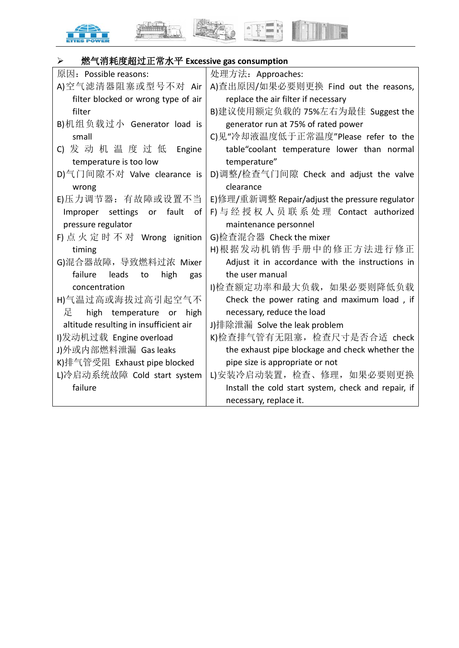



I

| 燃气消耗度超过正常水平 Excessive gas consumption<br>➤ |                                                     |
|--------------------------------------------|-----------------------------------------------------|
| 原因: Possible reasons:                      | 处理方法: Approaches:                                   |
| A)空气滤清器阻塞或型号不对 Air                         | A)查出原因/如果必要则更换 Find out the reasons,                |
| filter blocked or wrong type of air        | replace the air filter if necessary                 |
| filter                                     | B)建议使用额定负载的 75%左右为最佳 Suggest the                    |
| B)机组负载过小 Generator load is                 | generator run at 75% of rated power                 |
| small                                      | C)见"冷却液温度低于正常温度"Please refer to the                 |
| C) 发 动 机 温 度 过 低 Engine                    | table"coolant temperature lower than normal         |
| temperature is too low                     | temperature"                                        |
| D)气门间隙不对 Valve clearance is                | D)调整/检查气门间隙 Check and adjust the valve              |
| wrong                                      | clearance                                           |
| E)压力调节器: 有故障或设置不当                          | E)修理/重新调整 Repair/adjust the pressure regulator      |
| Improper settings or<br>fault<br>of        | F) 与经授权人员联系处理 Contact authorized                    |
| pressure regulator                         | maintenance personnel                               |
| F) 点火定时不对 Wrong ignition                   | G)检查混合器 Check the mixer                             |
| timing                                     | H)根据发动机销售手册中的修正方法进行修正                               |
| G)混合器故障, 导致燃料过浓 Mixer                      | Adjust it in accordance with the instructions in    |
| failure<br>leads<br>to<br>high<br>gas      | the user manual                                     |
| concentration                              | I)检查额定功率和最大负载, 如果必要则降低负载                            |
| H)气温过高或海拔过高引起空气不                           | Check the power rating and maximum load, if         |
| 足<br>high temperature or high              | necessary, reduce the load                          |
| altitude resulting in insufficient air     | J)排除泄漏 Solve the leak problem                       |
| I)发动机过载 Engine overload                    | K)检查排气管有无阻塞, 检查尺寸是否合适 check                         |
| J)外或内部燃料泄漏 Gas leaks                       | the exhaust pipe blockage and check whether the     |
| K)排气管受阻 Exhaust pipe blocked               | pipe size is appropriate or not                     |
| L)冷启动系统故障 Cold start system                | L)安装冷启动装置,检查、修理,如果必要则更换                             |
| failure                                    | Install the cold start system, check and repair, if |
|                                            | necessary, replace it.                              |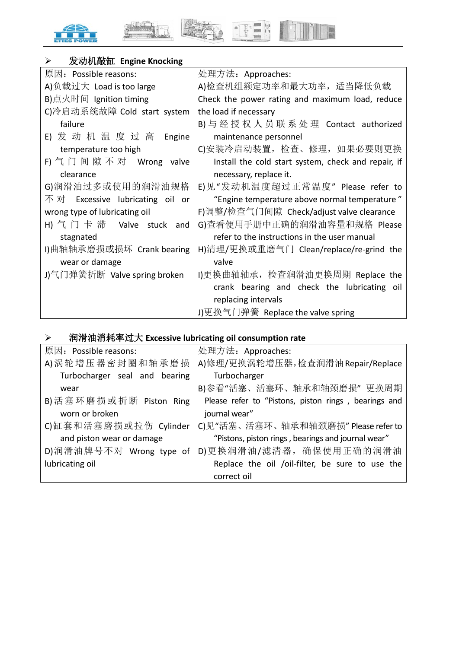



E

# 发动机敲缸 **Engine Knocking**

| 原因: Possible reasons:           | 处理方法: Approaches:                                   |
|---------------------------------|-----------------------------------------------------|
| A)负载过大 Load is too large        | A)检查机组额定功率和最大功率, 适当降低负载                             |
| B)点火时间 Ignition timing          | Check the power rating and maximum load, reduce     |
| C)冷启动系统故障 Cold start system     | the load if necessary                               |
| failure                         | B) 与 经 授 权 人 员 联 系 处 理 Contact authorized           |
| E) 发 动 机 温 度 过 高 Engine         | maintenance personnel                               |
| temperature too high            | C)安装冷启动装置, 检查、修理, 如果必要则更换                           |
| F) 气 门 间 隙 不 对  Wrong  valve    | Install the cold start system, check and repair, if |
| clearance                       | necessary, replace it.                              |
| G)润滑油过多或使用的润滑油规格                | E)见"发动机温度超过正常温度" Please refer to                    |
| 不对 Excessive lubricating oil or | "Engine temperature above normal temperature"       |
| wrong type of lubricating oil   | F)调整/检查气门间隙 Check/adjust valve clearance            |
| H) 气 门 卡 滞  Valve stuck<br>and  | G)查看便用手册中正确的润滑油容量和规格 Please                         |
| stagnated                       | refer to the instructions in the user manual        |
| I)曲轴轴承磨损或损坏 Crank bearing       | H)清理/更换或重磨气门 Clean/replace/re-grind the             |
| wear or damage                  | valve                                               |
| J)气门弹簧折断 Valve spring broken    | I)更换曲轴轴承,检查润滑油更换周期 Replace the                      |
|                                 | crank bearing and check the lubricating oil         |
|                                 | replacing intervals                                 |
|                                 | J)更换气门弹簧 Replace the valve spring                   |

# 润滑油消耗率过大 **Excessive lubricating oil consumption rate**

| 原因: Possible reasons:         | 处理方法: Approaches:                                    |
|-------------------------------|------------------------------------------------------|
| A) 涡轮增压器密封圈和轴承磨损              | A)修理/更换涡轮增压器,检查润滑油 Repair/Replace                    |
| Turbocharger seal and bearing | Turbocharger                                         |
| wear                          | B)参看"活塞、活塞环、轴承和轴颈磨损"更换周期                             |
| B) 活塞环磨损或折断 Piston Ring       | Please refer to "Pistons, piston rings, bearings and |
| worn or broken                | journal wear"                                        |
| C)缸套和活塞磨损或拉伤 Cylinder         | C)见"活塞、活塞环、轴承和轴颈磨损" Please refer to                  |
| and piston wear or damage     | "Pistons, piston rings, bearings and journal wear"   |
| D)润滑油牌号不对 Wrong type of       | D)更换润滑油/滤清器, 确保使用正确的润滑油                              |
| lubricating oil               | Replace the oil /oil-filter, be sure to use the      |
|                               | correct oil                                          |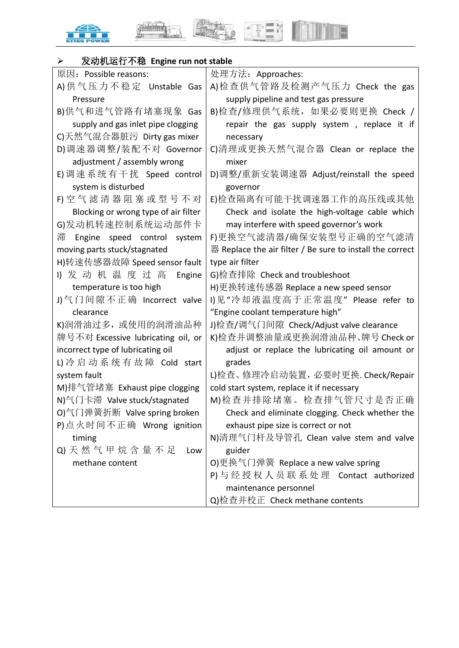





| 发动机运行不稳 Engine run not stable<br>➤   |                                                           |
|--------------------------------------|-----------------------------------------------------------|
| 原因: Possible reasons:                | 处理方法: Approaches:                                         |
| A) 供 气 压 力 不 稳 定 Unstable Gas        | A)检查供气管路及检测产气压力 Check the gas                             |
| Pressure                             | supply pipeline and test gas pressure                     |
| B)供气和进气管路有堵塞现象 Gas                   | B)检查/修理供气系统,如果必要则更换 Check /                               |
| supply and gas inlet pipe clogging   | repair the gas supply system, replace it if               |
| C)天然气混合器脏污 Dirty gas mixer           | necessary                                                 |
| D)调速器调整/装配不对 Governor                | C)清理或更换天然气混合器 Clean or replace the                        |
| adjustment / assembly wrong          | mixer                                                     |
| E)调速系统有干扰 Speed control              | D)调整/重新安装调速器 Adjust/reinstall the speed                   |
| system is disturbed                  | governor                                                  |
| F) 空 气 滤 清 器 阻 塞 或 型 号 不 对           | E)检查隔离有可能干扰调速器工作的高压线或其他                                   |
| Blocking or wrong type of air filter | Check and isolate the high-voltage cable which            |
| G)发动机转速控制系统运动部件卡                     | may interfere with speed governor's work                  |
| 滞<br>Engine speed control system     | F)更换空气滤清器/确保安装型号正确的空气滤清                                   |
| moving parts stuck/stagnated         | 器 Replace the air filter / Be sure to install the correct |
| H)转速传感器故障 Speed sensor fault         | type air filter                                           |
| 1) 发动机温度过高<br>Engine                 | G)检查排除 Check and troubleshoot                             |
| temperature is too high              | H)更换转速传感器 Replace a new speed sensor                      |
| J)气门间隙不正确 Incorrect valve            | Ⅱ见"冷却液温度高于正常温度" Please refer to                           |
| clearance                            | "Engine coolant temperature high"                         |
| K)润滑油过多, 或使用的润滑油品种                   | J)检查/调气门间隙 Check/Adjust valve clearance                   |
| 牌号不对 Excessive lubricating oil, or   | K)检查并调整油量或更换润滑油品种、牌号 Check or                             |
| incorrect type of lubricating oil    | adjust or replace the lubricating oil amount or           |
| L)冷启动系统有故障 Cold start                | grades                                                    |
| system fault                         | L)检查、修理冷启动装置, 必要时更换. Check/Repair                         |
| M)排气管堵塞 Exhaust pipe clogging        | cold start system, replace it if necessary                |
| N)气门卡滞 Valve stuck/stagnated         | M)检查并排除堵塞。检查排气管尺寸是否正确                                     |
| O)气门弹簧折断 Valve spring broken         | Check and eliminate clogging. Check whether the           |
| P)点火时间不正确 Wrong ignition             | exhaust pipe size is correct or not                       |
| timing                               | N)清理气门杆及导管孔 Clean valve stem and valve                    |
| Q) 天 然 气 甲 烷 含 量 不 足<br>Low          | guider                                                    |
| methane content                      | O)更换气门弹簧 Replace a new valve spring                       |
|                                      | P) 与 经 授 权 人 员 联 系 处 理 Contact authorized                 |
|                                      | maintenance personnel                                     |
|                                      | Q)检查并校正 Check methane contents                            |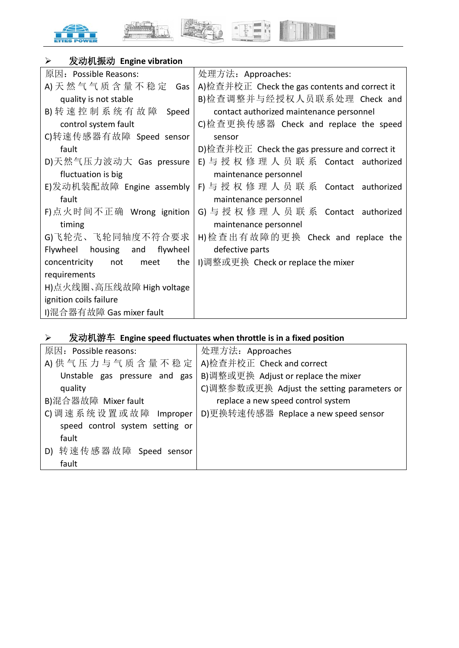



E

# 发动机振动 **Engine vibration**

| 原因: Possible Reasons:               | 处理方法: Approaches:                             |
|-------------------------------------|-----------------------------------------------|
| A) 天 然 气 气 质 含 量 不 稳 定 Gas          | A)检查并校正 Check the gas contents and correct it |
| quality is not stable               | B)检查调整并与经授权人员联系处理 Check and                   |
| B)转速控制系统有故障<br>Speed                | contact authorized maintenance personnel      |
| control system fault                | C)检查更换传感器 Check and replace the speed         |
| C)转速传感器有故障 Speed sensor             | sensor                                        |
| fault                               | D)检查并校正 Check the gas pressure and correct it |
| D)天然气压力波动大 Gas pressure             | E) 与 授 权 修 理 人 员 联 系 Contact authorized       |
| fluctuation is big                  | maintenance personnel                         |
| E)发动机装配故障 Engine assembly           | F) 与 授 权 修 理 人 员 联 系 Contact authorized       |
| fault                               | maintenance personnel                         |
| F)点火时间不正确 Wrong ignition            | G) 与授权修理人员联系 Contact authorized               |
| timing                              | maintenance personnel                         |
| G)飞轮壳、飞轮同轴度不符合要求                    | H)检查出有故障的更换 Check and replace the             |
| housing and<br>flywheel<br>Flywheel | defective parts                               |
| the<br>concentricity not meet       | I)调整或更换 Check or replace the mixer            |
| requirements                        |                                               |
| H)点火线圈、高压线故障 High voltage           |                                               |
| ignition coils failure              |                                               |
| I)混合器有故障 Gas mixer fault            |                                               |

# 发动机游车 **Engine speed fluctuates when throttle is in a fixed position**

| 原因: Possible reasons:           | 处理方法: Approaches                           |
|---------------------------------|--------------------------------------------|
| A) 供气压力与气质含量不稳定                 | A)检查并校正 Check and correct                  |
| Unstable gas pressure and gas   | B)调整或更换 Adjust or replace the mixer        |
| quality                         | C)调整参数或更换 Adjust the setting parameters or |
| B)混合器故障 Mixer fault             | replace a new speed control system         |
| C) 调速系统设置或故障 Improper           | D)更换转速传感器 Replace a new speed sensor       |
| speed control system setting or |                                            |
| fault                           |                                            |
| D) 转速传感器故障 Speed sensor         |                                            |
| fault                           |                                            |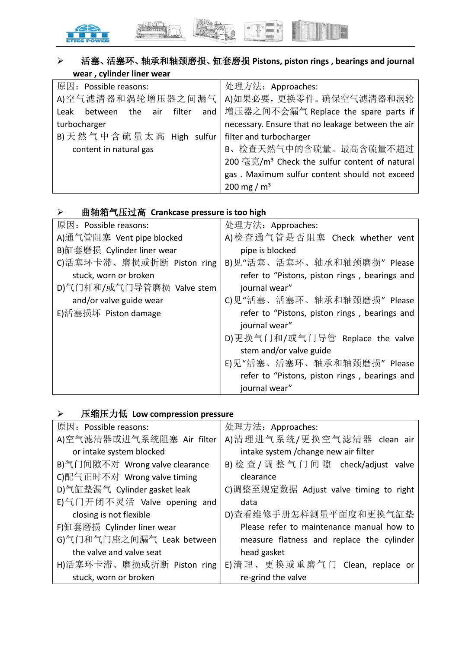

# 活塞、活塞环、轴承和轴颈磨损、缸套磨损 **Pistons, piston rings , bearings and journal wear , cylinder liner wear**

| 原因: Possible reasons:                 | 处理方法: Approaches:                                         |
|---------------------------------------|-----------------------------------------------------------|
|                                       | A)空气滤清器和涡轮增压器之间漏气   A)如果必要, 更换零件。确保空气滤清器和涡轮               |
| between the air filter<br>and<br>Leak | 增压器之间不会漏气 Replace the spare parts if                      |
| turbocharger                          | necessary. Ensure that no leakage between the air         |
| B) 天然气中含硫量太高 High sulfur              | filter and turbocharger                                   |
| content in natural gas                | B、检查天然气中的含硫量。最高含硫量不超过                                     |
|                                       | 200 毫克/m <sup>3</sup> Check the sulfur content of natural |
|                                       | gas. Maximum sulfur content should not exceed             |
|                                       | 200 mg / $m^3$                                            |

# 曲轴箱气压过高 **Crankcase pressure is too high**

| 原因: Possible reasons:      | 处理方法: Approaches:                             |
|----------------------------|-----------------------------------------------|
| A)通气管阻塞 Vent pipe blocked  | A)检查通气管是否阻塞 Check whether vent                |
| B)缸套磨损 Cylinder liner wear | pipe is blocked                               |
| C)活塞环卡滞、磨损或折断 Piston ring  | B)见"活塞、活塞环、轴承和轴颈磨损" Please                    |
| stuck, worn or broken      | refer to "Pistons, piston rings, bearings and |
| D)气门杆和/或气门导管磨损 Valve stem  | journal wear"                                 |
| and/or valve guide wear    | C)见"活塞、活塞环、轴承和轴颈磨损" Please                    |
| E)活塞损坏 Piston damage       | refer to "Pistons, piston rings, bearings and |
|                            | journal wear"                                 |
|                            | D)更换气门和/或气门导管 Replace the valve               |
|                            | stem and/or valve guide                       |
|                            | E)见"活塞、活塞环、轴承和轴颈磨损" Please                    |
|                            | refer to "Pistons, piston rings, bearings and |
|                            | journal wear"                                 |

# 压缩压力低 **Low compression pressure**

| 原因: Possible reasons:          | 处理方法: Approaches:                         |
|--------------------------------|-------------------------------------------|
| A)空气滤清器或进气系统阻塞 Air filter      | A)清理进气系统/更换空气滤清器 clean air                |
| or intake system blocked       | intake system / change new air filter     |
| B)气门间隙不对 Wrong valve clearance | B) 检 查 / 调 整 气 门 间 隙 check/adjust valve   |
| C)配气正时不对 Wrong valve timing    | clearance                                 |
| D)气缸垫漏气 Cylinder gasket leak   | C)调整至规定数据 Adjust valve timing to right    |
| E)气门开闭不灵活 Valve opening and    | data                                      |
| closing is not flexible        | D)查看维修手册怎样测量平面度和更换气缸垫                     |
| F)缸套磨损 Cylinder liner wear     | Please refer to maintenance manual how to |
| G)气门和气门座之间漏气 Leak between      | measure flatness and replace the cylinder |
| the valve and valve seat       | head gasket                               |
| H)活塞环卡滞、磨损或折断 Piston ring      | E)清理、更换或重磨气门 Clean, replace or            |
| stuck, worn or broken          | re-grind the valve                        |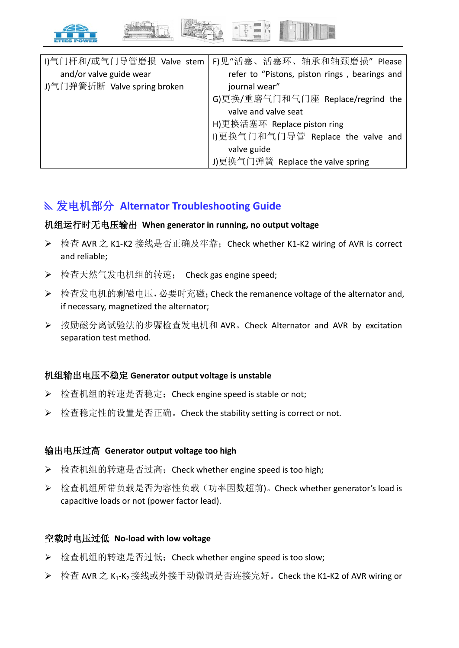

|                              | I)气门杆和/或气门导管磨损 Valve stem   F)见"活塞、活塞环、轴承和轴颈磨损" Please |
|------------------------------|--------------------------------------------------------|
| and/or valve guide wear      | refer to "Pistons, piston rings, bearings and          |
| J)气门弹簧折断 Valve spring broken | journal wear"                                          |
|                              | G)更换/重磨气门和气门座 Replace/regrind the                      |
|                              | valve and valve seat                                   |
|                              | H)更换活塞环 Replace piston ring                            |
|                              | 1)更换气门和气门导管 Replace the valve and                      |
|                              | valve guide                                            |
|                              | J)更换气门弹簧 Replace the valve spring                      |

# 发电机部分 **Alternator Troubleshooting Guide**

#### 机组运行时无电压输出 **When generator in running, no output voltage**

- 检查 AVR 之 K1-K2 接线是否正确及牢靠;Check whether K1-K2 wiring of AVR is correct and reliable;
- ▶ 检查天然气发电机组的转速; Check gas engine speed;
- ▶ 检查发电机的剩磁电压, 必要时充磁; Check the remanence voltage of the alternator and, if necessary, magnetized the alternator;
- ▶ 按励磁分离试验法的步骤检查发电机和 AVR。Check Alternator and AVR by excitation separation test method.

#### 机组输出电压不稳定 **Generator output voltage is unstable**

- ▶ 检查机组的转速是否稳定; Check engine speed is stable or not;
- ▶ 检查稳定性的设置是否正确。Check the stability setting is correct or not.

#### 输出电压过高 **Generator output voltage too high**

- ▶ 检查机组的转速是否过高; Check whether engine speed is too high;
- **▷** 检查机组所带负载是否为容性负载(功率因数超前)。Check whether generator's load is capacitive loads or not (power factor lead).

#### 空载时电压过低 **No-load with low voltage**

- ▶ 检查机组的转速是否过低; Check whether engine speed is too slow;
- 检查 AVR 之 K1-K2 接线或外接手动微调是否连接完好。Check the K1-K2 of AVR wiring or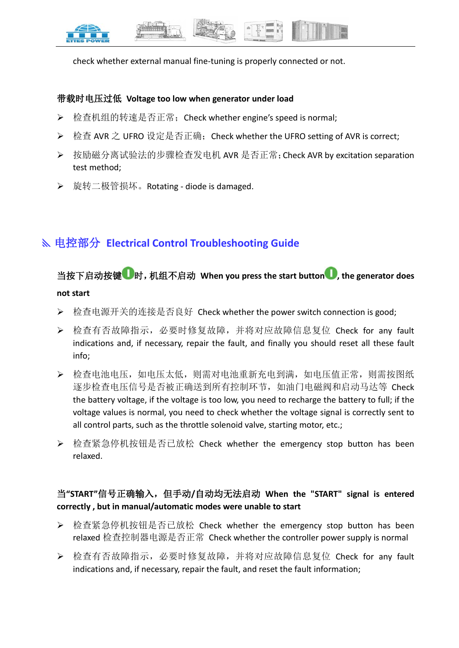

check whether external manual fine-tuning is properly connected or not.

#### 带载时电压过低 **Voltage too low when generator under load**

- ▶ 检查机组的转速是否正常; Check whether engine's speed is normal;
- ▶ 检查 AVR 之 UFRO 设定是否正确;Check whether the UFRO setting of AVR is correct;
- ▶ 按励磁分离试验法的步骤检查发电机 AVR 是否正常; Check AVR by excitation separation test method;
- 旋转二极管损坏。Rotating diode is damaged.

# 电控部分 **Electrical Control Troubleshooting Guide**

# 当按下启动按键 时,机组不启动 **When you press the start button , the generator does not start**

- ▶ 检查电源开关的连接是否良好 Check whether the power switch connection is good;
- 检查有否故障指示,必要时修复故障,并将对应故障信息复位 Check for any fault indications and, if necessary, repair the fault, and finally you should reset all these fault info;
- 检查电池电压,如电压太低,则需对电池重新充电到满,如电压值正常,则需按图纸 逐步检查电压信号是否被正确送到所有控制环节,如油门电磁阀和启动马达等 Check the battery voltage, if the voltage is too low, you need to recharge the battery to full; if the voltage values is normal, you need to check whether the voltage signal is correctly sent to all control parts, such as the throttle solenoid valve, starting motor, etc.;
- ▶ 检查紧急停机按钮是否已放松 Check whether the emergency stop button has been relaxed.

# 当**"START"**信号正确输入,但手动**/**自动均无法启动 **When the "START" signal is entered correctly , but in manual/automatic modes were unable to start**

- 检查紧急停机按钮是否已放松 Check whether the emergency stop button has been relaxed 检查控制器电源是否正常 Check whether the controller power supply is normal
- ▶ 检查有否故障指示, 必要时修复故障, 并将对应故障信息复位 Check for any fault indications and, if necessary, repair the fault, and reset the fault information;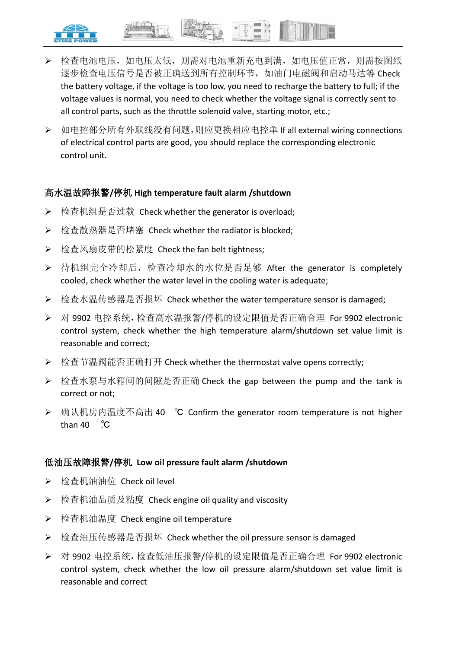

- 检查电池电压,如电压太低,则需对电池重新充电到满,如电压值正常,则需按图纸 逐步检查电压信号是否被正确送到所有控制环节,如油门电磁阀和启动马达等 Check the battery voltage, if the voltage is too low, you need to recharge the battery to full; if the voltage values is normal, you need to check whether the voltage signal is correctly sent to all control parts, such as the throttle solenoid valve, starting motor, etc.;
- ▶ 如电控部分所有外联线没有问题,则应更换相应电控单 If all external wiring connections of electrical control parts are good, you should replace the corresponding electronic control unit.

## 高水温故障报警**/**停机 **High temperature fault alarm /shutdown**

- **▶ 检查机组是否过载 Check whether the generator is overload;**
- ▶ 检查散热器是否堵塞 Check whether the radiator is blocked;
- ▶ 检查风扇皮带的松紧度 Check the fan belt tightness;
- ▶ 待机组完全冷却后, 检查冷却水的水位是否足够 After the generator is completely cooled, check whether the water level in the cooling water is adequate;
- ▶ 检查水温传感器是否损坏 Check whether the water temperature sensor is damaged:
- 对 9902 电控系统,检查高水温报警/停机的设定限值是否正确合理 For 9902 electronic control system, check whether the high temperature alarm/shutdown set value limit is reasonable and correct;
- **▶ 检查节温阀能否正确打开 Check whether the thermostat valve opens correctly;**
- 检查水泵与水箱间的间隙是否正确 Check the gap between the pump and the tank is correct or not;
- 确认机房内温度不高出 40 ℃ Confirm the generator room temperature is not higher than  $40^\circ$ . $\degree$ C

## 低油压故障报警**/**停机 **Low oil pressure fault alarm /shutdown**

- ▶ 检查机油油位 Check oil level
- **▷** 检查机油品质及粘度 Check engine oil quality and viscosity
- ▶ 检查机油温度 Check engine oil temperature
- ▶ 检查油压传感器是否损坏 Check whether the oil pressure sensor is damaged
- ▶ 对 9902 电控系统,检查低油压报警/停机的设定限值是否正确合理 For 9902 electronic control system, check whether the low oil pressure alarm/shutdown set value limit is reasonable and correct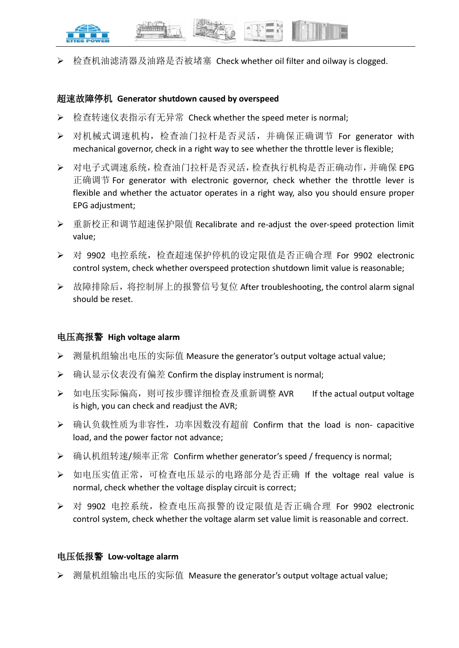

检查机油滤清器及油路是否被堵塞 Check whether oil filter and oilway is clogged.

#### 超速故障停机 **Generator shutdown caused by overspeed**

- ▶ 检查转速仪表指示有无异常 Check whether the speed meter is normal;
- 对机械式调速机构,检查油门拉杆是否灵活,并确保正确调节 For generator with mechanical governor, check in a right way to see whether the throttle lever is flexible;
- 对电子式调速系统,检查油门拉杆是否灵活,检查执行机构是否正确动作,并确保 EPG 正确调节 For generator with electronic governor, check whether the throttle lever is flexible and whether the actuator operates in a right way, also you should ensure proper EPG adjustment;
- 重新校正和调节超速保护限值 Recalibrate and re-adjust the over-speed protection limit value;
- 对 9902 电控系统,检查超速保护停机的设定限值是否正确合理 For 9902 electronic control system, check whether overspeed protection shutdown limit value is reasonable;
- ▶ 故障排除后,将控制屏上的报警信号复位 After troubleshooting, the control alarm signal should be reset.

#### 电压高报警 **High voltage alarm**

- **▶** 测量机组输出电压的实际值 Measure the generator's output voltage actual value;
- ▶ 确认显示仪表没有偏差 Confirm the display instrument is normal;
- ▶ 如电压实际偏高, 则可按步骤详细检查及重新调整 AVR If the actual output voltage is high, you can check and readjust the AVR;
- ▶ 确认负载性质为非容性, 功率因数没有超前 Confirm that the load is non- capacitive load, and the power factor not advance;
- **▶ 确认机组转速/频率正常 Confirm whether generator's speed / frequency is normal;**
- > 如电压实值正常, 可检查电压显示的电路部分是否正确 If the voltage real value is normal, check whether the voltage display circuit is correct;
- 对 9902 电控系统,检查电压高报警的设定限值是否正确合理 For 9902 electronic control system, check whether the voltage alarm set value limit is reasonable and correct.

#### 电压低报警 **Low-voltage alarm**

▶ 测量机组输出电压的实际值 Measure the generator's output voltage actual value;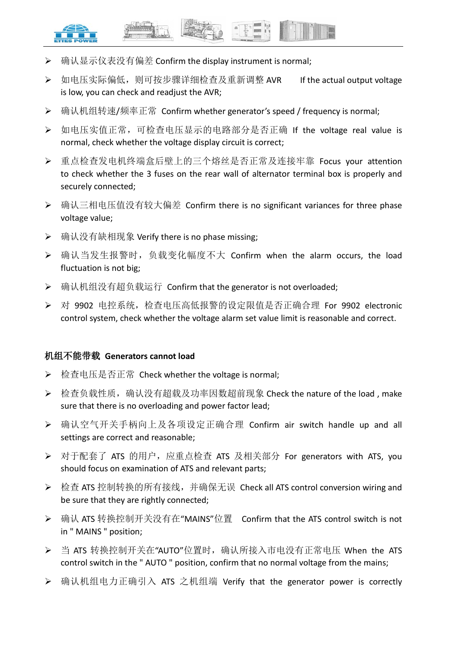

- **▶** 确认显示仪表没有偏差 Confirm the display instrument is normal;
- ▶ 如电压实际偏低, 则可按步骤详细检查及重新调整 AVR If the actual output voltage is low, you can check and readjust the AVR;
- **▶ 确认机组转速/频率正常 Confirm whether generator's speed / frequency is normal;**
- ▶ 如电压实值正常, 可检查电压显示的电路部分是否正确 If the voltage real value is normal, check whether the voltage display circuit is correct;
- 重点检查发电机终端盒后壁上的三个熔丝是否正常及连接牢靠 Focus your attention to check whether the 3 fuses on the rear wall of alternator terminal box is properly and securely connected;
- ▶ 确认三相电压值没有较大偏差 Confirm there is no significant variances for three phase voltage value;
- **▶** 确认没有缺相现象 Verify there is no phase missing;
- **▷** 确认当发生报警时, 负载变化幅度不大 Confirm when the alarm occurs, the load fluctuation is not big;
- **▶** 确认机组没有超负载运行 Confirm that the generator is not overloaded;
- 对 9902 电控系统,检查电压高低报警的设定限值是否正确合理 For 9902 electronic control system, check whether the voltage alarm set value limit is reasonable and correct.

#### 机组不能带载 **Generators cannot load**

- ▶ 检查电压是否正常 Check whether the voltage is normal;
- ▶ 检查负载性质,确认没有超载及功率因数超前现象 Check the nature of the load, make sure that there is no overloading and power factor lead;
- 确认空气开关手柄向上及各项设定正确合理 Confirm air switch handle up and all settings are correct and reasonable;
- ▶ 对于配套了 ATS 的用户, 应重点检查 ATS 及相关部分 For generators with ATS, you should focus on examination of ATS and relevant parts;
- ▶ 检查 ATS 控制转换的所有接线,并确保无误 Check all ATS control conversion wiring and be sure that they are rightly connected;
- ▶ 确认 ATS 转换控制开关没有在"MAINS"位置 Confirm that the ATS control switch is not in " MAINS " position;
- ▶ 当 ATS 转换控制开关在"AUTO"位置时, 确认所接入市电没有正常电压 When the ATS control switch in the " AUTO " position, confirm that no normal voltage from the mains;
- **▷** 确认机组电力正确引入 ATS 之机组端 Verify that the generator power is correctly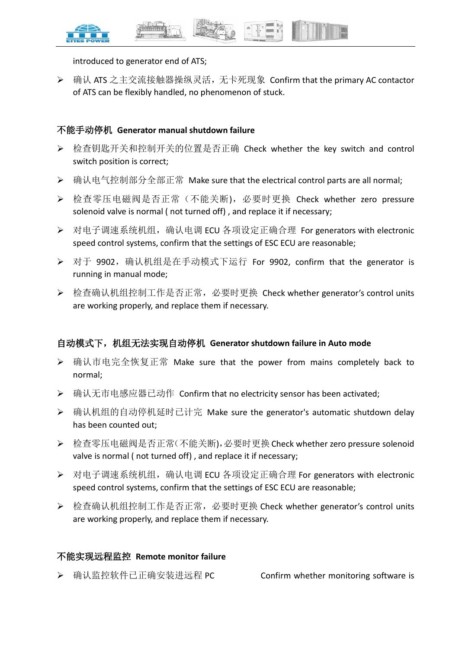



introduced to generator end of ATS;

▶ 确认 ATS 之主交流接触器操纵灵活, 无卡死现象 Confirm that the primary AC contactor of ATS can be flexibly handled, no phenomenon of stuck.

#### 不能手动停机 **Generator manual shutdown failure**

- ▶ 检查钥匙开关和控制开关的位置是否正确 Check whether the key switch and control switch position is correct;
- ▶ 确认电气控制部分全部正常 Make sure that the electrical control parts are all normal;
- ▶ 检查零压电磁阀是否正常(不能关断),必要时更换 Check whether zero pressure solenoid valve is normal ( not turned off) , and replace it if necessary;
- ▶ 对电子调速系统机组,确认电调 ECU 各项设定正确合理 For generators with electronic speed control systems, confirm that the settings of ESC ECU are reasonable;
- **▷** 对于 9902, 确认机组是在手动模式下运行 For 9902, confirm that the generator is running in manual mode;
- 检查确认机组控制工作是否正常,必要时更换 Check whether generator's control units are working properly, and replace them if necessary.

## 自动模式下,机组无法实现自动停机 **Generator shutdown failure in Auto mode**

- 确认市电完全恢复正常 Make sure that the power from mains completely back to normal;
- **→** 确认无市电感应器已动作 Confirm that no electricity sensor has been activated;
- ▶ 确认机组的自动停机延时已计完 Make sure the generator's automatic shutdown delay has been counted out;
- ▶ 检查零压电磁阀是否正常(不能关断),必要时更换 Check whether zero pressure solenoid valve is normal ( not turned off) , and replace it if necessary;
- ▶ 对电子调速系统机组, 确认电调 ECU 各项设定正确合理 For generators with electronic speed control systems, confirm that the settings of ESC ECU are reasonable;
- 检查确认机组控制工作是否正常,必要时更换 Check whether generator's control units are working properly, and replace them if necessary.

## 不能实现远程监控 **Remote monitor failure**

▶ 确认监控软件已正确安装进远程 PC confirm whether monitoring software is